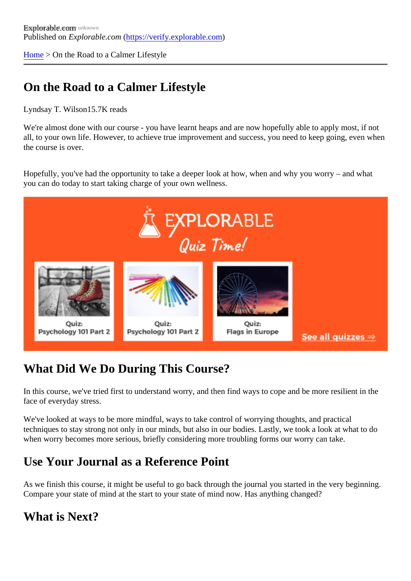[Home](https://verify.explorable.com/) > On the Road to a Calmer Lifestyle

## On the Road to a Calmer Lifestyle

Lyndsay T. Wilson 5.7K reads

We're almost done with our course - you have learnt heaps and are now hopefully able to apply most, if not all, to your own life. However, to achieve true improvement and success, you need to keep going, even wh the course is over.

Hopefully, you've had the opportunity to take a deeper look at how, when and why you worry – and what you can do today to start taking charge of your own wellness.

# What Did We Do During This Course?

In this course, we've tried first to understand worry, and then find ways to cope and be more resilient in the face of everyday stress.

We've looked at ways to be more mindful, ways to take control of worrying thoughts, and practical techniques to stay strong not only in our minds, but also in our bodies. Lastly, we took a look at what to do when worry becomes more serious, briefly considering more troubling forms our worry can take.

#### Use Your Journal as a Reference Point

As we finish this course, it might be useful to go back through the journal you started in the very beginning Compare your state of mind at the start to your state of mind now. Has anything changed?

#### What is Next?